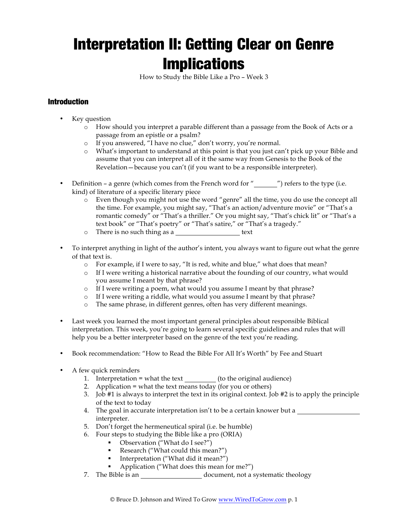# Interpretation II: Getting Clear on Genre **Implications**

How to Study the Bible Like a Pro – Week 3

# Introduction

- Key question
	- o How should you interpret a parable different than a passage from the Book of Acts or a passage from an epistle or a psalm?
	- o If you answered, "I have no clue," don't worry, you're normal.
	- o What's important to understand at this point is that you just can't pick up your Bible and assume that you can interpret all of it the same way from Genesis to the Book of the Revelation—because you can't (if you want to be a responsible interpreter).
- Definition a genre (which comes from the French word for  $"$   $"$ ) refers to the type (i.e. kind) of literature of a specific literary piece
	- o Even though you might not use the word "genre" all the time, you do use the concept all the time. For example, you might say, "That's an action/adventure movie" or "That's a romantic comedy" or "That's a thriller." Or you might say, "That's chick lit" or "That's a text book" or "That's poetry" or "That's satire," or "That's a tragedy."
	- o There is no such thing as a text
- To interpret anything in light of the author's intent, you always want to figure out what the genre of that text is.
	- o For example, if I were to say, "It is red, white and blue," what does that mean?
	- o If I were writing a historical narrative about the founding of our country, what would you assume I meant by that phrase?
	- o If I were writing a poem, what would you assume I meant by that phrase?
	- o If I were writing a riddle, what would you assume I meant by that phrase?
	- o The same phrase, in different genres, often has very different meanings.
- Last week you learned the most important general principles about responsible Biblical interpretation. This week, you're going to learn several specific guidelines and rules that will help you be a better interpreter based on the genre of the text you're reading.
- Book recommendation: "How to Read the Bible For All It's Worth" by Fee and Stuart
- A few quick reminders
	- 1. Interpretation = what the text (to the original audience)
	- 2. Application = what the text means today (for you or others)
	- 3. Job #1 is always to interpret the text in its original context. Job #2 is to apply the principle of the text to today
	- 4. The goal in accurate interpretation isn't to be a certain knower but a interpreter.
	- 5. Don't forget the hermeneutical spiral (i.e. be humble)
	- 6. Four steps to studying the Bible like a pro (ORIA)
		- Observation ("What do I see?")
		- Research ("What could this mean?")
		- Interpretation ("What did it mean?")
		- § Application ("What does this mean for me?")
	- 7. The Bible is an document, not a systematic theology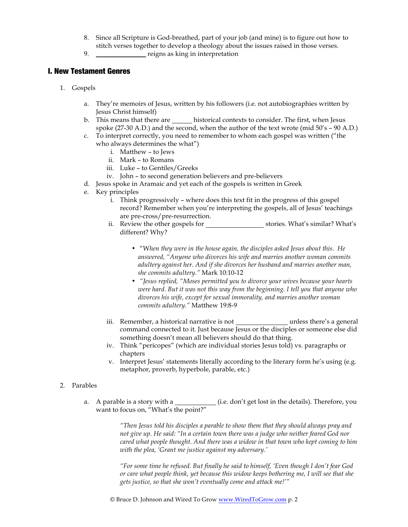- 8. Since all Scripture is God-breathed, part of your job (and mine) is to figure out how to stitch verses together to develop a theology about the issues raised in those verses.
- 9. \_\_\_\_\_\_\_\_\_\_\_\_\_\_\_\_ reigns as king in interpretation

## I. New Testament Genres

- 1. Gospels
	- a. They're memoirs of Jesus, written by his followers (i.e. not autobiographies written by Jesus Christ himself)
	- b. This means that there are historical contexts to consider. The first, when Jesus spoke (27-30 A.D.) and the second, when the author of the text wrote (mid 50's – 90 A.D.)
	- c. To interpret correctly, you need to remember to whom each gospel was written ("the who always determines the what")
		- i. Matthew to Jews
		- ii. Mark to Romans
		- iii. Luke to Gentiles/Greeks
		- iv. John to second generation believers and pre-believers
	- d. Jesus spoke in Aramaic and yet each of the gospels is written in Greek
	- e. Key principles
		- i. Think progressively where does this text fit in the progress of this gospel record? Remember when you're interpreting the gospels, all of Jesus' teachings are pre-cross/pre-resurrection.
		- ii. Review the other gospels for stories. What's similar? What's different? Why?
			- "W*hen they were in the house again, the disciples asked Jesus about this. He answered, "Anyone who divorces his wife and marries another woman commits adultery against her. And if she divorces her husband and marries another man, she commits adultery."* Mark 10:10-12
			- *"Jesus replied, "Moses permitted you to divorce your wives because your hearts were hard. But it was not this way from the beginning. I tell you that anyone who divorces his wife, except for sexual immorality, and marries another woman commits adultery."* Matthew 19:8-9
		- iii. Remember, a historical narrative is not unless there's a general command connected to it. Just because Jesus or the disciples or someone else did something doesn't mean all believers should do that thing.
		- iv. Think "pericopes" (which are individual stories Jesus told) vs. paragraphs or chapters
		- v. Interpret Jesus' statements literally according to the literary form he's using (e.g. metaphor, proverb, hyperbole, parable, etc.)

#### 2. Parables

a. A parable is a story with a  $\qquad \qquad$  (i.e. don't get lost in the details). Therefore, you want to focus on, "What's the point?"

> *"Then Jesus told his disciples a parable to show them that they should always pray and not give up. He said: "In a certain town there was a judge who neither feared God nor cared what people thought. And there was a widow in that town who kept coming to him with the plea, 'Grant me justice against my adversary.'*

*"For some time he refused. But finally he said to himself, 'Even though I don't fear God or care what people think, yet because this widow keeps bothering me, I will see that she gets justice, so that she won't eventually come and attack me!'"*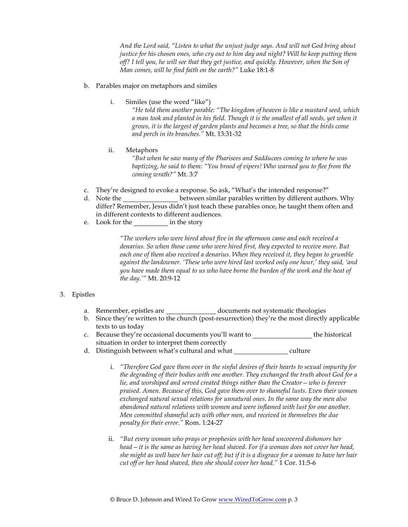*And the Lord said, "Listen to what the unjust judge says. And will not God bring about justice for his chosen ones, who cry out to him day and night? Will he keep putting them off? I tell you, he will see that they get justice, and quickly. However, when the Son of Man comes, will he find faith on the earth?"* Luke 18:1-8

#### b. Parables major on metaphors and similes

i. Similes (use the word "like")

*"He told them another parable: "The kingdom of heaven is like a mustard seed, which a man took and planted in his field. Though it is the smallest of all seeds, yet when it grows, it is the largest of garden plants and becomes a tree, so that the birds come and perch in its branches."* Mt. 13:31-32

ii. Metaphors

*"But when he saw many of the Pharisees and Sadducees coming to where he was baptizing, he said to them: "You brood of vipers! Who warned you to flee from the coming wrath?"* Mt. 3:7

- c. They're designed to evoke a response. So ask, "What's the intended response?"
- d. Note the between similar parables written by different authors. Why differ? Remember, Jesus didn't just teach these parables once, he taught them often and in different contexts to different audiences.
- e. Look for the in the story

*"The workers who were hired about five in the afternoon came and each received a denarius. So when those came who were hired first, they expected to receive more. But each one of them also received a denarius. When they received it, they began to grumble against the landowner. 'These who were hired last worked only one hour,' they said, 'and you have made them equal to us who have borne the burden of the work and the heat of the day.'"* Mt. 20:9-12

#### 3. Epistles

- a. Remember, epistles are \_\_\_\_\_\_\_\_\_\_\_\_\_\_\_ documents not systematic theologies
- b. Since they're written to the church (post-resurrection) they're the most directly applicable texts to us today
- c. Because they're occasional documents you'll want to the historical situation in order to interpret them correctly
- d. Distinguish between what's cultural and what culture
	- i. *"Therefore God gave them over in the sinful desires of their hearts to sexual impurity for the degrading of their bodies with one another. They exchanged the truth about God for a lie, and worshiped and served created things rather than the Creator—who is forever praised. Amen. Because of this, God gave them over to shameful lusts. Even their women exchanged natural sexual relations for unnatural ones. In the same way the men also abandoned natural relations with women and were inflamed with lust for one another. Men committed shameful acts with other men, and received in themselves the due penalty for their error."* Rom. 1:24-27
	- ii. *"But every woman who prays or prophesies with her head uncovered dishonors her head—it is the same as having her head shaved. For if a woman does not cover her head, she might as well have her hair cut off; but if it is a disgrace for a woman to have her hair cut off or her head shaved, then she should cover her head."* 1 Cor. 11:5-6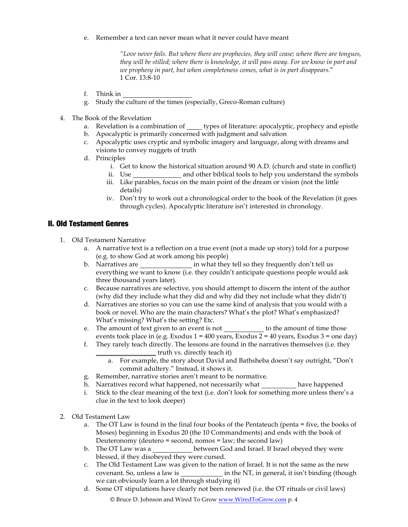e. Remember a text can never mean what it never could have meant

*"Love never fails. But where there are prophecies, they will cease; where there are tongues, they will be stilled; where there is knowledge, it will pass away. For we know in part and we prophesy in part, but when completeness comes, what is in part disappears.*" 1 Cor. 13:8-10

- f. Think in
- g. Study the culture of the times (especially, Greco-Roman culture)
- 4. The Book of the Revelation
	- a. Revelation is a combination of types of literature: apocalyptic, prophecy and epistle
	- b. Apocalyptic is primarily concerned with judgment and salvation
	- c. Apocalyptic uses cryptic and symbolic imagery and language, along with dreams and visions to convey nuggets of truth
	- d. Principles
		- i. Get to know the historical situation around 90 A.D. (church and state in conflict)
		- ii. Use and other biblical tools to help you understand the symbols
		- iii. Like parables, focus on the main point of the dream or vision (not the little details)
		- iv. Don't try to work out a chronological order to the book of the Revelation (it goes through cycles). Apocalyptic literature isn't interested in chronology.

## II. Old Testament Genres

- 1. Old Testament Narrative
	- a. A narrative text is a reflection on a true event (not a made up story) told for a purpose (e.g. to show God at work among his people)
	- b. Narratives are in what they tell so they frequently don't tell us everything we want to know (i.e. they couldn't anticipate questions people would ask three thousand years later).
	- c. Because narratives are selective, you should attempt to discern the intent of the author (why did they include what they did and why did they not include what they didn't)
	- d. Narratives are stories so you can use the same kind of analysis that you would with a book or novel. Who are the main characters? What's the plot? What's emphasized? What's missing? What's the setting? Etc.
	- e. The amount of text given to an event is not to the amount of time those events took place in (e.g. Exodus  $1 = 400$  years, Exodus  $2 = 40$  years, Exodus  $3 =$  one day)
	- f. They rarely teach directly. The lessons are found in the narratives themselves (i.e. they \_\_\_\_\_\_\_\_\_\_\_\_\_\_\_\_\_\_ truth vs. directly teach it)
		- a. For example, the story about David and Bathsheba doesn't say outright, "Don't commit adultery." Instead, it shows it.
	- g. Remember, narrative stories aren't meant to be normative.
	- h. Narratives record what happened, not necessarily what have happened
	- i. Stick to the clear meaning of the text (i.e. don't look for something more unless there's a clue in the text to look deeper)
- 2. Old Testament Law
	- a. The OT Law is found in the final four books of the Pentateuch (penta = five, the books of Moses) beginning in Exodus 20 (the 10 Commandments) and ends with the book of Deuteronomy (deutero = second, nomos =  $law$ ; the second  $law$ )
	- b. The OT Law was a **between God and Israel. If Israel obeyed they were** blessed, if they disobeyed they were cursed.
	- c. The Old Testament Law was given to the nation of Israel. It is not the same as the new covenant. So, unless a law is in the NT, in general, it isn't binding (though we can obviously learn a lot through studying it)
	- d. Some OT stipulations have clearly not been renewed (i.e. the OT rituals or civil laws)

© Bruce D. Johnson and Wired To Grow www.WiredToGrow.com p. 4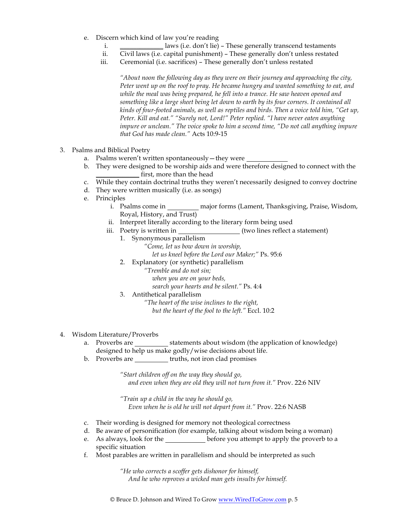- e. Discern which kind of law you're reading
	- i. \_\_\_\_\_\_\_\_\_\_\_\_\_ laws (i.e. don't lie) These generally transcend testaments
	- ii. Civil laws (i.e. capital punishment) These generally don't unless restated
	- iii. Ceremonial (i.e. sacrifices) These generally don't unless restated

*"About noon the following day as they were on their journey and approaching the city, Peter went up on the roof to pray. He became hungry and wanted something to eat, and while the meal was being prepared, he fell into a trance. He saw heaven opened and something like a large sheet being let down to earth by its four corners. It contained all kinds of four-footed animals, as well as reptiles and birds. Then a voice told him, "Get up, Peter. Kill and eat." "Surely not, Lord!" Peter replied. "I have never eaten anything impure or unclean." The voice spoke to him a second time, "Do not call anything impure that God has made clean."* Acts 10:9-15

- 3. Psalms and Biblical Poetry
	- a. Psalms weren't written spontaneously—they were
	- b. They were designed to be worship aids and were therefore designed to connect with the first, more than the head
	- c. While they contain doctrinal truths they weren't necessarily designed to convey doctrine
	- d. They were written musically (i.e. as songs)
	- e. Principles
		- i. Psalms come in major forms (Lament, Thanksgiving, Praise, Wisdom, Royal, History, and Trust)
		- ii. Interpret literally according to the literary form being used
		- iii. Poetry is written in (two lines reflect a statement)
			- 1. Synonymous parallelism
				- *"Come, let us bow down in worship, let us kneel before the Lord our Maker;"* Ps. 95:6
				-
				- 2. Explanatory (or synthetic) parallelism
					- *"Tremble and do not sin;*
						- *when you are on your beds,*
						- *search your hearts and be silent."* Ps. 4:4
				- 3. Antithetical parallelism
					- *"The heart of the wise inclines to the right, but the heart of the fool to the left."* Eccl. 10:2
- 4. Wisdom Literature/Proverbs
	- a. Proverbs are statements about wisdom (the application of knowledge) designed to help us make godly/wise decisions about life.
	- b. Proverbs are truths, not iron clad promises

*"Start children off on the way they should go, and even when they are old they will not turn from it."* Prov. 22:6 NIV

*"Train up a child in the way he should go, Even when he is old he will not depart from it."* Prov. 22:6 NASB

- c. Their wording is designed for memory not theological correctness
- d. Be aware of personification (for example, talking about wisdom being a woman)
- e. As always, look for the before you attempt to apply the proverb to a specific situation
- f. Most parables are written in parallelism and should be interpreted as such

*"He who corrects a scoffer gets dishonor for himself, And he who reproves a wicked man gets insults for himself.*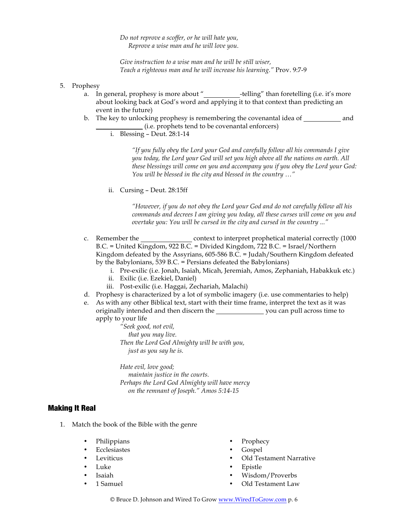*Do not reprove a scoffer, or he will hate you, Reprove a wise man and he will love you.*

*Give instruction to a wise man and he will be still wiser, Teach a righteous man and he will increase his learning."* Prov. 9:7-9

- 5. Prophesy
	- a. In general, prophesy is more about "\_\_\_\_\_\_\_\_\_\_\_-telling" than foretelling (i.e. it's more about looking back at God's word and applying it to that context than predicting an event in the future)
	- b. The key to unlocking prophesy is remembering the covenantal idea of and \_\_\_\_\_\_\_\_\_\_\_\_\_\_ (i.e. prophets tend to be covenantal enforcers)
		- i. Blessing Deut. 28:1-14

*"If you fully obey the Lord your God and carefully follow all his commands I give you today, the Lord your God will set you high above all the nations on earth. All these blessings will come on you and accompany you if you obey the Lord your God: You will be blessed in the city and blessed in the country …"* 

ii. Cursing – Deut. 28:15ff

*"However, if you do not obey the Lord your God and do not carefully follow all his commands and decrees I am giving you today, all these curses will come on you and overtake you: You will be cursed in the city and cursed in the country ..."*

- c. Remember the context to interpret prophetical material correctly (1000 B.C. = United Kingdom, 922 B.C. = Divided Kingdom, 722 B.C. = Israel/Northern Kingdom defeated by the Assyrians, 605-586 B.C. = Judah/Southern Kingdom defeated by the Babylonians, 539 B.C. = Persians defeated the Babylonians)
	- i. Pre-exilic (i.e. Jonah, Isaiah, Micah, Jeremiah, Amos, Zephaniah, Habakkuk etc.)
	- ii. Exilic (i.e. Ezekiel, Daniel)
	- iii. Post-exilic (i.e. Haggai, Zechariah, Malachi)
- d. Prophesy is characterized by a lot of symbolic imagery (i.e. use commentaries to help)
- e. As with any other Biblical text, start with their time frame, interpret the text as it was originally intended and then discern the you can pull across time to apply to your life

*"Seek good, not evil, that you may live. Then the Lord God Almighty will be with you, just as you say he is.*

*Hate evil, love good; maintain justice in the courts. Perhaps the Lord God Almighty will have mercy on the remnant of Joseph." Amos 5:14-15*

### Making It Real

- 1. Match the book of the Bible with the genre
	- Philippians Prophecy
	- Ecclesiastes Gospel
	-
	-
	-
	-
- 
- 
- Leviticus Old Testament Narrative
- Luke Epistle
	- Isaiah Wisdom/Proverbs
	- 1 Samuel Old Testament Law